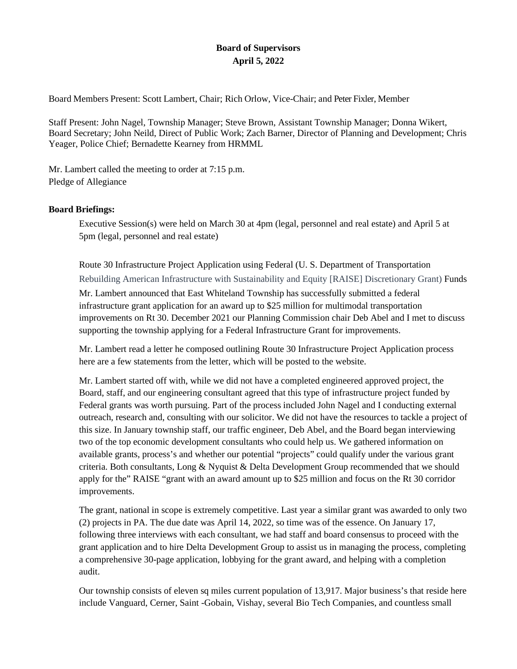# **Board of Supervisors April 5, 2022**

Board Members Present: Scott Lambert, Chair; Rich Orlow, Vice-Chair; and Peter Fixler, Member

Staff Present: John Nagel, Township Manager; Steve Brown, Assistant Township Manager; Donna Wikert, Board Secretary; John Neild, Direct of Public Work; Zach Barner, Director of Planning and Development; Chris Yeager, Police Chief; Bernadette Kearney from HRMML

Mr. Lambert called the meeting to order at 7:15 p.m. Pledge of Allegiance

# **Board Briefings:**

Executive Session(s) were held on March 30 at 4pm (legal, personnel and real estate) and April 5 at 5pm (legal, personnel and real estate)

Route 30 Infrastructure Project Application using Federal (U. S. Department of Transportation Rebuilding American Infrastructure with Sustainability and Equity [RAISE] Discretionary Grant) Funds

Mr. Lambert announced that East Whiteland Township has successfully submitted a federal infrastructure grant application for an award up to \$25 million for multimodal transportation improvements on Rt 30. December 2021 our Planning Commission chair Deb Abel and I met to discuss supporting the township applying for a Federal Infrastructure Grant for improvements.

Mr. Lambert read a letter he composed outlining Route 30 Infrastructure Project Application process here are a few statements from the letter, which will be posted to the website.

Mr. Lambert started off with, while we did not have a completed engineered approved project, the Board, staff, and our engineering consultant agreed that this type of infrastructure project funded by Federal grants was worth pursuing. Part of the process included John Nagel and I conducting external outreach, research and, consulting with our solicitor. We did not have the resources to tackle a project of this size. In January township staff, our traffic engineer, Deb Abel, and the Board began interviewing two of the top economic development consultants who could help us. We gathered information on available grants, process's and whether our potential "projects" could qualify under the various grant criteria. Both consultants, Long & Nyquist & Delta Development Group recommended that we should apply for the" RAISE "grant with an award amount up to \$25 million and focus on the Rt 30 corridor improvements.

The grant, national in scope is extremely competitive. Last year a similar grant was awarded to only two (2) projects in PA. The due date was April 14, 2022, so time was of the essence. On January 17, following three interviews with each consultant, we had staff and board consensus to proceed with the grant application and to hire Delta Development Group to assist us in managing the process, completing a comprehensive 30-page application, lobbying for the grant award, and helping with a completion audit.

Our township consists of eleven sq miles current population of 13,917. Major business's that reside here include Vanguard, Cerner, Saint -Gobain, Vishay, several Bio Tech Companies, and countless small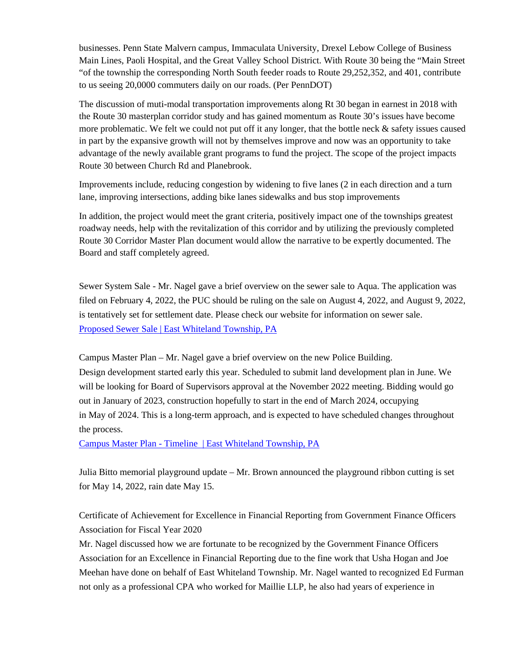businesses. Penn State Malvern campus, Immaculata University, Drexel Lebow College of Business Main Lines, Paoli Hospital, and the Great Valley School District. With Route 30 being the "Main Street "of the township the corresponding North South feeder roads to Route 29,252,352, and 401, contribute to us seeing 20,0000 commuters daily on our roads. (Per PennDOT)

The discussion of muti-modal transportation improvements along Rt 30 began in earnest in 2018 with the Route 30 masterplan corridor study and has gained momentum as Route 30's issues have become more problematic. We felt we could not put off it any longer, that the bottle neck  $\&$  safety issues caused in part by the expansive growth will not by themselves improve and now was an opportunity to take advantage of the newly available grant programs to fund the project. The scope of the project impacts Route 30 between Church Rd and Planebrook.

Improvements include, reducing congestion by widening to five lanes (2 in each direction and a turn lane, improving intersections, adding bike lanes sidewalks and bus stop improvements

In addition, the project would meet the grant criteria, positively impact one of the townships greatest roadway needs, help with the revitalization of this corridor and by utilizing the previously completed Route 30 Corridor Master Plan document would allow the narrative to be expertly documented. The Board and staff completely agreed.

Sewer System Sale - Mr. Nagel gave a brief overview on the sewer sale to Aqua. The application was filed on February 4, 2022, the PUC should be ruling on the sale on August 4, 2022, and August 9, 2022, is tentatively set for settlement date. Please check our website for information on sewer sale. [Proposed Sewer Sale | East Whiteland Township, PA](http://www.eastwhiteland.org/434/Proposed-Sewer-Sale)

Campus Master Plan – Mr. Nagel gave a brief overview on the new Police Building. Design development started early this year. Scheduled to submit land development plan in June. We will be looking for Board of Supervisors approval at the November 2022 meeting. Bidding would go out in January of 2023, construction hopefully to start in the end of March 2024, occupying in May of 2024. This is a long-term approach, and is expected to have scheduled changes throughout the process.

[Campus Master Plan -](http://www.eastwhiteland.org/471/Campus-Master-Plan---Timeline) Timeline [| East Whiteland Township, PA](http://www.eastwhiteland.org/471/Campus-Master-Plan---Timeline)

Julia Bitto memorial playground update – Mr. Brown announced the playground ribbon cutting is set for May 14, 2022, rain date May 15.

Certificate of Achievement for Excellence in Financial Reporting from Government Finance Officers Association for Fiscal Year 2020

Mr. Nagel discussed how we are fortunate to be recognized by the Government Finance Officers Association for an Excellence in Financial Reporting due to the fine work that Usha Hogan and Joe Meehan have done on behalf of East Whiteland Township. Mr. Nagel wanted to recognized Ed Furman not only as a professional CPA who worked for Maillie LLP, he also had years of experience in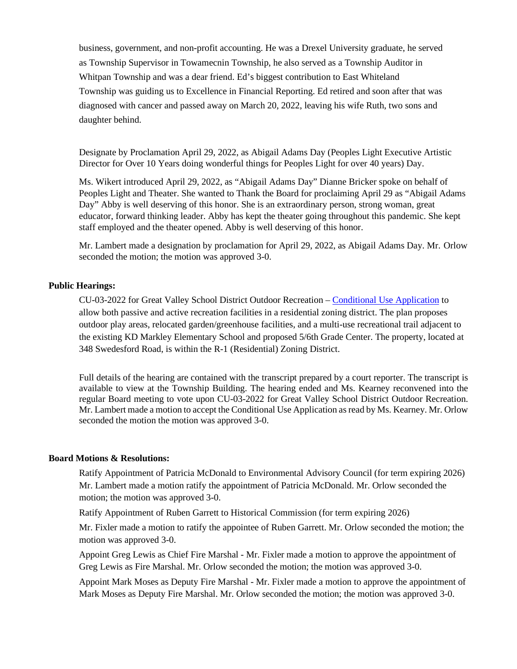business, government, and non-profit accounting. He was a Drexel University graduate, he served as Township Supervisor in Towamecnin Township, he also served as a Township Auditor in Whitpan Township and was a dear friend. Ed's biggest contribution to East Whiteland Township was guiding us to Excellence in Financial Reporting. Ed retired and soon after that was diagnosed with cancer and passed away on March 20, 2022, leaving his wife Ruth, two sons and daughter behind.

Designate by Proclamation April 29, 2022, as Abigail Adams Day (Peoples Light Executive Artistic Director for Over 10 Years doing wonderful things for Peoples Light for over 40 years) Day.

Ms. Wikert introduced April 29, 2022, as "Abigail Adams Day" Dianne Bricker spoke on behalf of Peoples Light and Theater. She wanted to Thank the Board for proclaiming April 29 as "Abigail Adams Day" Abby is well deserving of this honor. She is an extraordinary person, strong woman, great educator, forward thinking leader. Abby has kept the theater going throughout this pandemic. She kept staff employed and the theater opened. Abby is well deserving of this honor.

Mr. Lambert made a designation by proclamation for April 29, 2022, as Abigail Adams Day. Mr. Orlow seconded the motion; the motion was approved 3-0.

### **Public Hearings:**

CU-03-2022 for Great Valley School District Outdoor Recreation – [Conditional Use Application](https://www.eastwhiteland.org/DocumentCenter/Index/315) to allow both passive and active recreation facilities in a residential zoning district. The plan proposes outdoor play areas, relocated garden/greenhouse facilities, and a multi-use recreational trail adjacent to the existing KD Markley Elementary School and proposed 5/6th Grade Center. The property, located at 348 Swedesford Road, is within the R-1 (Residential) Zoning District.

Full details of the hearing are contained with the transcript prepared by a court reporter. The transcript is available to view at the Township Building. The hearing ended and Ms. Kearney reconvened into the regular Board meeting to vote upon CU-03-2022 for Great Valley School District Outdoor Recreation. Mr. Lambert made a motion to accept the Conditional Use Application as read by Ms. Kearney. Mr. Orlow seconded the motion the motion was approved 3-0.

#### **Board Motions & Resolutions:**

Ratify Appointment of Patricia McDonald to Environmental Advisory Council (for term expiring 2026) Mr. Lambert made a motion ratify the appointment of Patricia McDonald. Mr. Orlow seconded the motion; the motion was approved 3-0.

Ratify Appointment of Ruben Garrett to Historical Commission (for term expiring 2026)

Mr. Fixler made a motion to ratify the appointee of Ruben Garrett. Mr. Orlow seconded the motion; the motion was approved 3-0.

Appoint Greg Lewis as Chief Fire Marshal - Mr. Fixler made a motion to approve the appointment of Greg Lewis as Fire Marshal. Mr. Orlow seconded the motion; the motion was approved 3-0.

Appoint Mark Moses as Deputy Fire Marshal - Mr. Fixler made a motion to approve the appointment of Mark Moses as Deputy Fire Marshal. Mr. Orlow seconded the motion; the motion was approved 3-0.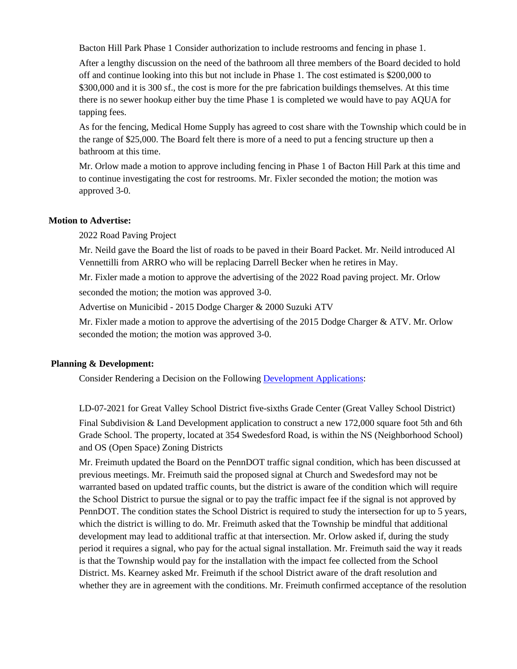Bacton Hill Park Phase 1 Consider authorization to include restrooms and fencing in phase 1.

After a lengthy discussion on the need of the bathroom all three members of the Board decided to hold off and continue looking into this but not include in Phase 1. The cost estimated is \$200,000 to \$300,000 and it is 300 sf., the cost is more for the pre fabrication buildings themselves. At this time there is no sewer hookup either buy the time Phase 1 is completed we would have to pay AQUA for tapping fees.

As for the fencing, Medical Home Supply has agreed to cost share with the Township which could be in the range of \$25,000. The Board felt there is more of a need to put a fencing structure up then a bathroom at this time.

Mr. Orlow made a motion to approve including fencing in Phase 1 of Bacton Hill Park at this time and to continue investigating the cost for restrooms. Mr. Fixler seconded the motion; the motion was approved 3-0.

### **Motion to Advertise:**

2022 Road Paving Project

Mr. Neild gave the Board the list of roads to be paved in their Board Packet. Mr. Neild introduced Al Vennettilli from ARRO who will be replacing Darrell Becker when he retires in May.

Mr. Fixler made a motion to approve the advertising of the 2022 Road paving project. Mr. Orlow

seconded the motion; the motion was approved 3-0.

Advertise on Municibid - 2015 Dodge Charger & 2000 Suzuki ATV

Mr. Fixler made a motion to approve the advertising of the 2015 Dodge Charger & ATV. Mr. Orlow seconded the motion; the motion was approved 3-0.

#### **Planning & Development:**

Consider Rendering a Decision on the Following [Development Applications:](https://www.eastwhiteland.org/305/Land-Developments)

LD-07-2021 for Great Valley School District five-sixths Grade Center (Great Valley School District) Final Subdivision & Land Development application to construct a new 172,000 square foot 5th and 6th Grade School. The property, located at 354 Swedesford Road, is within the NS (Neighborhood School) and OS (Open Space) Zoning Districts

Mr. Freimuth updated the Board on the PennDOT traffic signal condition, which has been discussed at previous meetings. Mr. Freimuth said the proposed signal at Church and Swedesford may not be warranted based on updated traffic counts, but the district is aware of the condition which will require the School District to pursue the signal or to pay the traffic impact fee if the signal is not approved by PennDOT. The condition states the School District is required to study the intersection for up to 5 years, which the district is willing to do. Mr. Freimuth asked that the Township be mindful that additional development may lead to additional traffic at that intersection. Mr. Orlow asked if, during the study period it requires a signal, who pay for the actual signal installation. Mr. Freimuth said the way it reads is that the Township would pay for the installation with the impact fee collected from the School District. Ms. Kearney asked Mr. Freimuth if the school District aware of the draft resolution and whether they are in agreement with the conditions. Mr. Freimuth confirmed acceptance of the resolution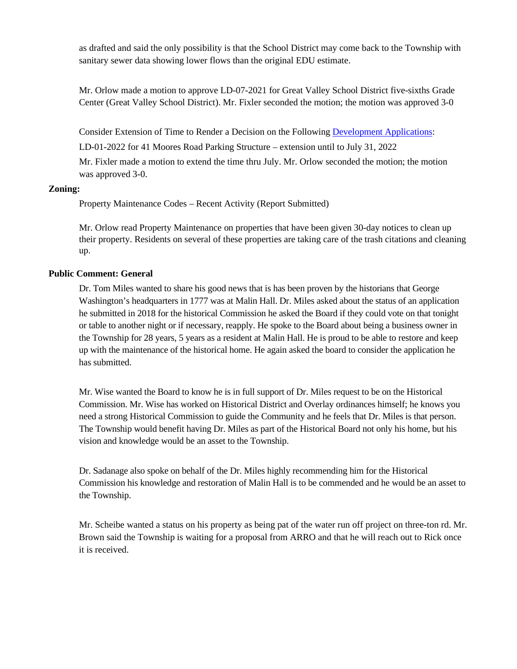as drafted and said the only possibility is that the School District may come back to the Township with sanitary sewer data showing lower flows than the original EDU estimate.

Mr. Orlow made a motion to approve LD-07-2021 for Great Valley School District five-sixths Grade Center (Great Valley School District). Mr. Fixler seconded the motion; the motion was approved 3-0

Consider Extension of Time to Render a Decision on the Following [Development Applications:](https://www.eastwhiteland.org/305/Land-Developments)

LD-01-2022 for 41 Moores Road Parking Structure – extension until to July 31, 2022

Mr. Fixler made a motion to extend the time thru July. Mr. Orlow seconded the motion; the motion was approved 3-0.

## **Zoning:**

Property Maintenance Codes – Recent Activity (Report Submitted)

Mr. Orlow read Property Maintenance on properties that have been given 30-day notices to clean up their property. Residents on several of these properties are taking care of the trash citations and cleaning up.

# **Public Comment: General**

Dr. Tom Miles wanted to share his good news that is has been proven by the historians that George Washington's headquarters in 1777 was at Malin Hall. Dr. Miles asked about the status of an application he submitted in 2018 for the historical Commission he asked the Board if they could vote on that tonight or table to another night or if necessary, reapply. He spoke to the Board about being a business owner in the Township for 28 years, 5 years as a resident at Malin Hall. He is proud to be able to restore and keep up with the maintenance of the historical home. He again asked the board to consider the application he has submitted.

Mr. Wise wanted the Board to know he is in full support of Dr. Miles request to be on the Historical Commission. Mr. Wise has worked on Historical District and Overlay ordinances himself; he knows you need a strong Historical Commission to guide the Community and he feels that Dr. Miles is that person. The Township would benefit having Dr. Miles as part of the Historical Board not only his home, but his vision and knowledge would be an asset to the Township.

Dr. Sadanage also spoke on behalf of the Dr. Miles highly recommending him for the Historical Commission his knowledge and restoration of Malin Hall is to be commended and he would be an asset to the Township.

Mr. Scheibe wanted a status on his property as being pat of the water run off project on three-ton rd. Mr. Brown said the Township is waiting for a proposal from ARRO and that he will reach out to Rick once it is received.